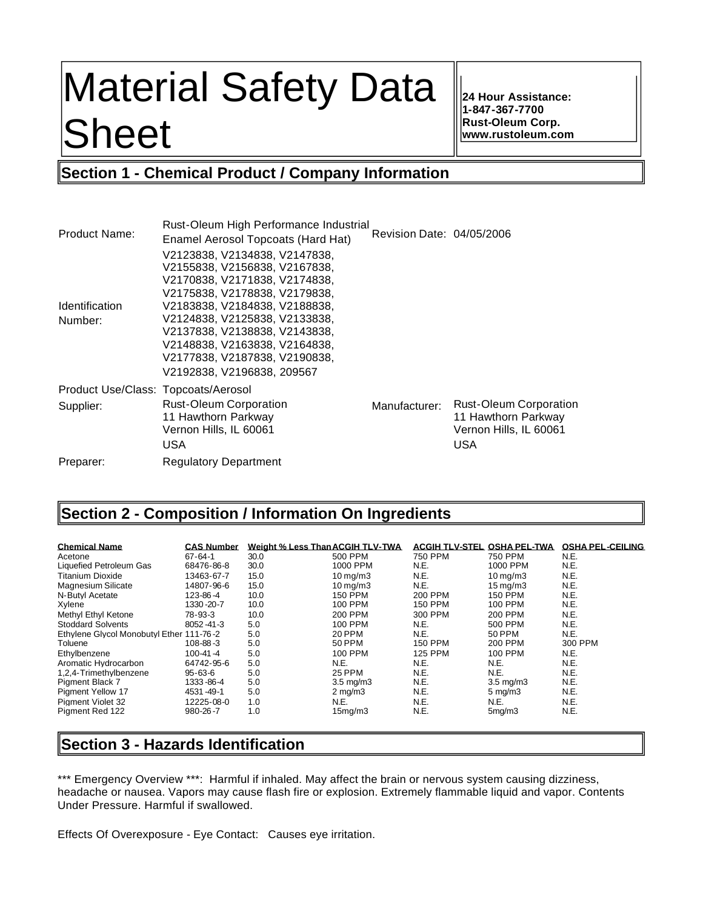# Material Safety Data **Sheet**

**24 Hour Assistance: 1-847-367-7700 Rust-Oleum Corp. www.rustoleum.com**

# **Section 1 - Chemical Product / Company Information**

|                                     | Rust-Oleum High Performance Industrial |                           |                               |  |
|-------------------------------------|----------------------------------------|---------------------------|-------------------------------|--|
| <b>Product Name:</b>                | Enamel Aerosol Topcoats (Hard Hat)     | Revision Date: 04/05/2006 |                               |  |
|                                     | V2123838, V2134838, V2147838,          |                           |                               |  |
|                                     | V2155838, V2156838, V2167838,          |                           |                               |  |
|                                     | V2170838, V2171838, V2174838,          |                           |                               |  |
|                                     | V2175838, V2178838, V2179838,          |                           |                               |  |
| <b>Identification</b>               | V2183838, V2184838, V2188838,          |                           |                               |  |
| Number:                             | V2124838, V2125838, V2133838,          |                           |                               |  |
|                                     | V2137838, V2138838, V2143838,          |                           |                               |  |
|                                     | V2148838, V2163838, V2164838,          |                           |                               |  |
|                                     | V2177838, V2187838, V2190838,          |                           |                               |  |
|                                     | V2192838, V2196838, 209567             |                           |                               |  |
| Product Use/Class: Topcoats/Aerosol |                                        |                           |                               |  |
| Supplier:                           | <b>Rust-Oleum Corporation</b>          | Manufacturer:             | <b>Rust-Oleum Corporation</b> |  |
|                                     | 11 Hawthorn Parkway                    |                           | 11 Hawthorn Parkway           |  |
|                                     | Vernon Hills, IL 60061                 |                           | Vernon Hills, IL 60061        |  |
|                                     | USA                                    |                           | USA                           |  |
| Preparer:                           | <b>Regulatory Department</b>           |                           |                               |  |
|                                     |                                        |                           |                               |  |

# **Section 2 - Composition / Information On Ingredients**

|      |                                                                                                                                                                                                                                                           |                                             | <b>OSHA PEL-TWA</b>   |                       |                         |
|------|-----------------------------------------------------------------------------------------------------------------------------------------------------------------------------------------------------------------------------------------------------------|---------------------------------------------|-----------------------|-----------------------|-------------------------|
| 30.0 |                                                                                                                                                                                                                                                           |                                             | 750 PPM               | N.E.                  |                         |
| 30.0 | 1000 PPM                                                                                                                                                                                                                                                  | N.E.                                        | 1000 PPM              | N.E.                  |                         |
| 15.0 | $10 \,\mathrm{ma/m}$                                                                                                                                                                                                                                      | N.E.                                        | $10 \,\mathrm{ma/m3}$ | N.E.                  |                         |
| 15.0 | $10 \,\mathrm{ma/m}$ 3                                                                                                                                                                                                                                    | N.E.                                        | $15 \,\mathrm{ma/m3}$ | N.E.                  |                         |
| 10.0 | <b>150 PPM</b>                                                                                                                                                                                                                                            | 200 PPM                                     | <b>150 PPM</b>        | N.E.                  |                         |
| 10.0 | 100 PPM                                                                                                                                                                                                                                                   | <b>150 PPM</b>                              | 100 PPM               | N.E.                  |                         |
| 10.0 | 200 PPM                                                                                                                                                                                                                                                   | 300 PPM                                     | 200 PPM               | N.E.                  |                         |
| 5.0  | 100 PPM                                                                                                                                                                                                                                                   | N.E.                                        | 500 PPM               | N.E.                  |                         |
| 5.0  | 20 PPM                                                                                                                                                                                                                                                    | N.E.                                        | 50 PPM                | N.E.                  |                         |
| 5.0  | <b>50 PPM</b>                                                                                                                                                                                                                                             | <b>150 PPM</b>                              | 200 PPM               | 300 PPM               |                         |
| 5.0  | <b>100 PPM</b>                                                                                                                                                                                                                                            | <b>125 PPM</b>                              | <b>100 PPM</b>        | N.E.                  |                         |
| 5.0  | N.E.                                                                                                                                                                                                                                                      | N.E.                                        | N.E.                  | N.E.                  |                         |
| 5.0  | 25 PPM                                                                                                                                                                                                                                                    | N.E.                                        | N.E.                  | N.E.                  |                         |
| 5.0  | $3.5 \text{ ma/m}$ 3                                                                                                                                                                                                                                      | N.E.                                        | $3.5 \text{ mg/m}$    | N.E.                  |                         |
| 5.0  | $2 \text{ mg/m}$                                                                                                                                                                                                                                          | N.E.                                        | $5 \text{ mg/m}$      | N.E.                  |                         |
| 1.0  | N.E.                                                                                                                                                                                                                                                      | N.E.                                        | N.E.                  | N.E.                  |                         |
| 1.0  | 15 <sub>mq</sub> /m3                                                                                                                                                                                                                                      | N.E.                                        | 5 <sub>mq</sub> /m3   | N.E.                  |                         |
|      | <b>CAS Number</b><br>68476-86-8<br>13463-67-7<br>14807-96-6<br>123-86-4<br>1330-20-7<br>8052-41-3<br>Ethylene Givcol Monobutyl Ether 111-76-2<br>$108 - 88 - 3$<br>$100 - 41 - 4$<br>64742-95-6<br>1333-86-4<br>4531-49-1<br>12225-08-0<br>$980 - 26 - 7$ | Weight % Less Than ACGIH TLV-TWA<br>500 PPM | <b>750 PPM</b>        | <b>ACGIH TLV-STEL</b> | <b>OSHA PEL-CEILING</b> |

## **Section 3 - Hazards Identification**

\*\*\* Emergency Overview \*\*\*: Harmful if inhaled. May affect the brain or nervous system causing dizziness, headache or nausea. Vapors may cause flash fire or explosion. Extremely flammable liquid and vapor. Contents Under Pressure. Harmful if swallowed.

Effects Of Overexposure - Eye Contact: Causes eye irritation.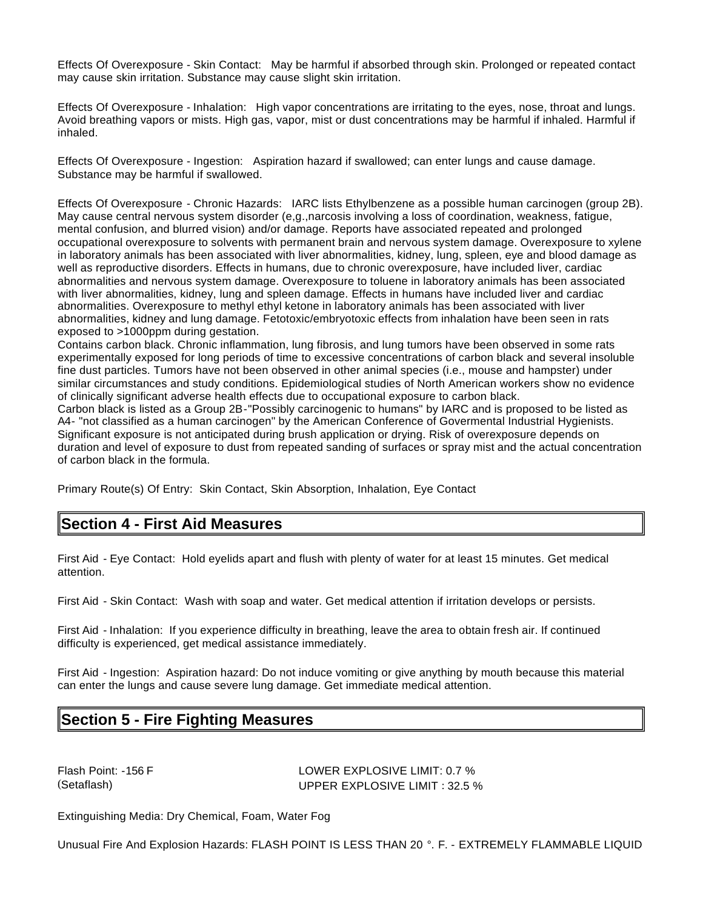Effects Of Overexposure - Skin Contact: May be harmful if absorbed through skin. Prolonged or repeated contact may cause skin irritation. Substance may cause slight skin irritation.

Effects Of Overexposure - Inhalation: High vapor concentrations are irritating to the eyes, nose, throat and lungs. Avoid breathing vapors or mists. High gas, vapor, mist or dust concentrations may be harmful if inhaled. Harmful if inhaled.

Effects Of Overexposure - Ingestion: Aspiration hazard if swallowed; can enter lungs and cause damage. Substance may be harmful if swallowed.

Effects Of Overexposure - Chronic Hazards: IARC lists Ethylbenzene as a possible human carcinogen (group 2B). May cause central nervous system disorder (e,g.,narcosis involving a loss of coordination, weakness, fatigue, mental confusion, and blurred vision) and/or damage. Reports have associated repeated and prolonged occupational overexposure to solvents with permanent brain and nervous system damage. Overexposure to xylene in laboratory animals has been associated with liver abnormalities, kidney, lung, spleen, eye and blood damage as well as reproductive disorders. Effects in humans, due to chronic overexposure, have included liver, cardiac abnormalities and nervous system damage. Overexposure to toluene in laboratory animals has been associated with liver abnormalities, kidney, lung and spleen damage. Effects in humans have included liver and cardiac abnormalities. Overexposure to methyl ethyl ketone in laboratory animals has been associated with liver abnormalities, kidney and lung damage. Fetotoxic/embryotoxic effects from inhalation have been seen in rats exposed to >1000ppm during gestation.

Contains carbon black. Chronic inflammation, lung fibrosis, and lung tumors have been observed in some rats experimentally exposed for long periods of time to excessive concentrations of carbon black and several insoluble fine dust particles. Tumors have not been observed in other animal species (i.e., mouse and hampster) under similar circumstances and study conditions. Epidemiological studies of North American workers show no evidence of clinically significant adverse health effects due to occupational exposure to carbon black.

Carbon black is listed as a Group 2B-"Possibly carcinogenic to humans" by IARC and is proposed to be listed as A4- "not classified as a human carcinogen" by the American Conference of Govermental Industrial Hygienists. Significant exposure is not anticipated during brush application or drying. Risk of overexposure depends on duration and level of exposure to dust from repeated sanding of surfaces or spray mist and the actual concentration of carbon black in the formula.

Primary Route(s) Of Entry: Skin Contact, Skin Absorption, Inhalation, Eye Contact

## **Section 4 - First Aid Measures**

First Aid - Eye Contact: Hold eyelids apart and flush with plenty of water for at least 15 minutes. Get medical attention.

First Aid - Skin Contact: Wash with soap and water. Get medical attention if irritation develops or persists.

First Aid - Inhalation: If you experience difficulty in breathing, leave the area to obtain fresh air. If continued difficulty is experienced, get medical assistance immediately.

First Aid - Ingestion: Aspiration hazard: Do not induce vomiting or give anything by mouth because this material can enter the lungs and cause severe lung damage. Get immediate medical attention.

## **Section 5 - Fire Fighting Measures**

Flash Point: -156 F LOWER EXPLOSIVE LIMIT: 0.7 % (Setaflash) UPPER EXPLOSIVE LIMIT : 32.5 %

Extinguishing Media: Dry Chemical, Foam, Water Fog

Unusual Fire And Explosion Hazards: FLASH POINT IS LESS THAN 20 °. F. - EXTREMELY FLAMMABLE LIQUID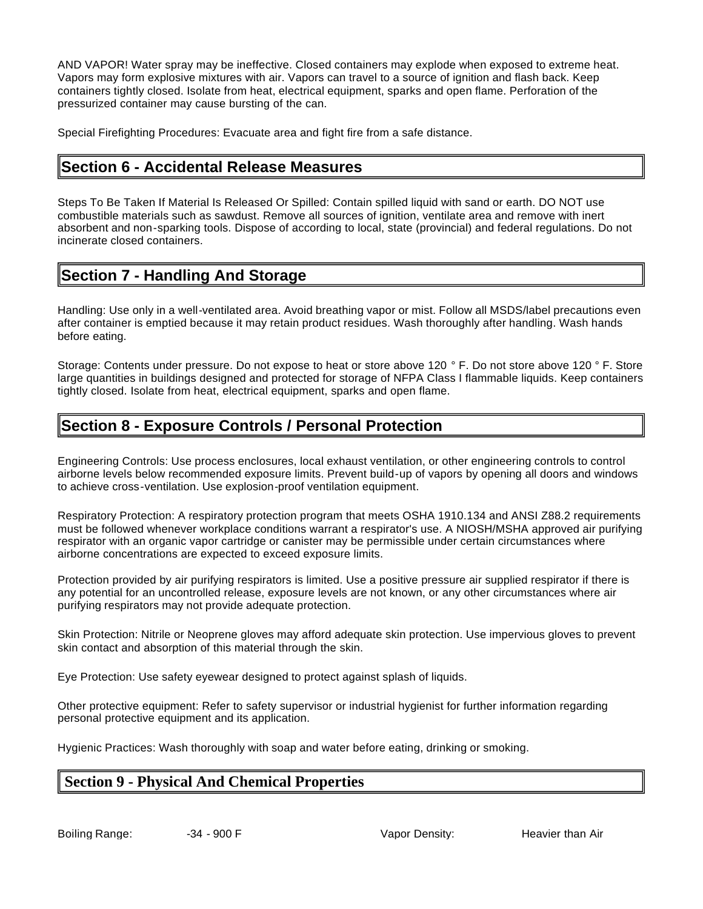AND VAPOR! Water spray may be ineffective. Closed containers may explode when exposed to extreme heat. Vapors may form explosive mixtures with air. Vapors can travel to a source of ignition and flash back. Keep containers tightly closed. Isolate from heat, electrical equipment, sparks and open flame. Perforation of the pressurized container may cause bursting of the can.

Special Firefighting Procedures: Evacuate area and fight fire from a safe distance.

# **Section 6 - Accidental Release Measures**

Steps To Be Taken If Material Is Released Or Spilled: Contain spilled liquid with sand or earth. DO NOT use combustible materials such as sawdust. Remove all sources of ignition, ventilate area and remove with inert absorbent and non-sparking tools. Dispose of according to local, state (provincial) and federal regulations. Do not incinerate closed containers.

# **Section 7 - Handling And Storage**

Handling: Use only in a well-ventilated area. Avoid breathing vapor or mist. Follow all MSDS/label precautions even after container is emptied because it may retain product residues. Wash thoroughly after handling. Wash hands before eating.

Storage: Contents under pressure. Do not expose to heat or store above 120 ° F. Do not store above 120 ° F. Store large quantities in buildings designed and protected for storage of NFPA Class I flammable liquids. Keep containers tightly closed. Isolate from heat, electrical equipment, sparks and open flame.

# **Section 8 - Exposure Controls / Personal Protection**

Engineering Controls: Use process enclosures, local exhaust ventilation, or other engineering controls to control airborne levels below recommended exposure limits. Prevent build-up of vapors by opening all doors and windows to achieve cross-ventilation. Use explosion-proof ventilation equipment.

Respiratory Protection: A respiratory protection program that meets OSHA 1910.134 and ANSI Z88.2 requirements must be followed whenever workplace conditions warrant a respirator's use. A NIOSH/MSHA approved air purifying respirator with an organic vapor cartridge or canister may be permissible under certain circumstances where airborne concentrations are expected to exceed exposure limits.

Protection provided by air purifying respirators is limited. Use a positive pressure air supplied respirator if there is any potential for an uncontrolled release, exposure levels are not known, or any other circumstances where air purifying respirators may not provide adequate protection.

Skin Protection: Nitrile or Neoprene gloves may afford adequate skin protection. Use impervious gloves to prevent skin contact and absorption of this material through the skin.

Eye Protection: Use safety eyewear designed to protect against splash of liquids.

Other protective equipment: Refer to safety supervisor or industrial hygienist for further information regarding personal protective equipment and its application.

Hygienic Practices: Wash thoroughly with soap and water before eating, drinking or smoking.

## **Section 9 - Physical And Chemical Properties**

Boiling Range:  $-34 - 900$  F and  $\overline{a}$  Vapor Density: Heavier than Air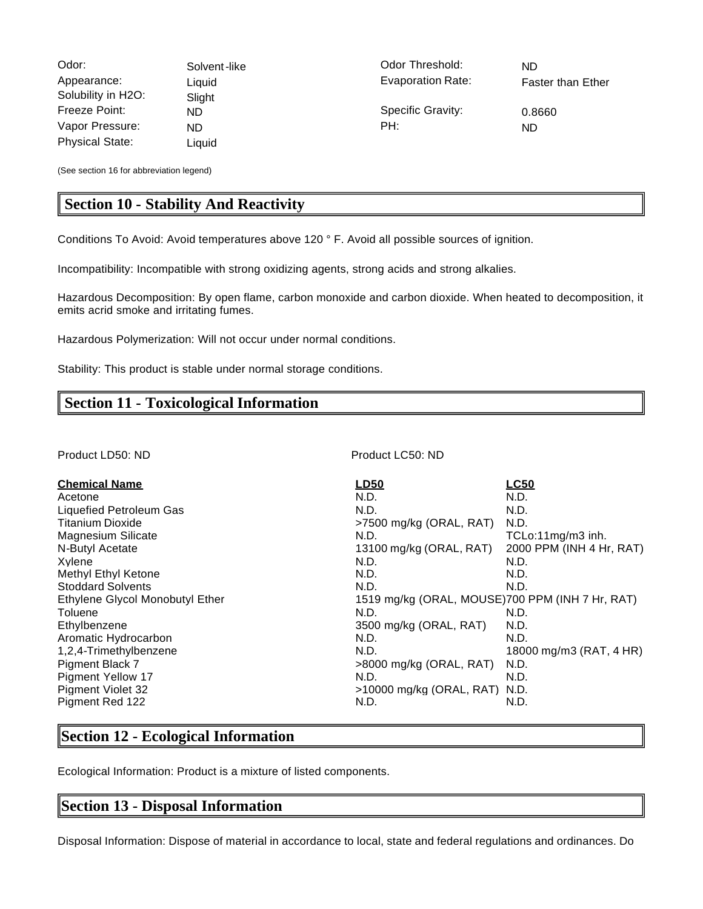Odor: Solvent-like Codor Threshold: ND Appearance: Liquid Liquid Evaporation Rate: Faster than Ether Solubility in H2O: Slight Freeze Point: ND ND Specific Gravity: 0.8660 Vapor Pressure: ND ND PH: ND ND Physical State: Liquid

(See section 16 for abbreviation legend)

## **Section 10 - Stability And Reactivity**

Conditions To Avoid: Avoid temperatures above 120 ° F. Avoid all possible sources of ignition.

Incompatibility: Incompatible with strong oxidizing agents, strong acids and strong alkalies.

Hazardous Decomposition: By open flame, carbon monoxide and carbon dioxide. When heated to decomposition, it emits acrid smoke and irritating fumes.

Hazardous Polymerization: Will not occur under normal conditions.

Stability: This product is stable under normal storage conditions.

## **Section 11 - Toxicological Information**

Product LD50: ND Product LC50: ND

| <b>Chemical Name</b>            | <b>LD50</b>                                     | <b>LC50</b>              |
|---------------------------------|-------------------------------------------------|--------------------------|
| Acetone                         | N.D.                                            | N.D.                     |
| Liquefied Petroleum Gas         | N.D.                                            | N.D.                     |
| <b>Titanium Dioxide</b>         | >7500 mg/kg (ORAL, RAT)                         | N.D.                     |
| <b>Magnesium Silicate</b>       | N.D.                                            | TCLo:11mg/m3 inh.        |
| N-Butyl Acetate                 | 13100 mg/kg (ORAL, RAT)                         | 2000 PPM (INH 4 Hr, RAT) |
| Xvlene                          | N.D.                                            | N.D.                     |
| Methyl Ethyl Ketone             | N.D.                                            | N.D.                     |
| <b>Stoddard Solvents</b>        | N.D.                                            | N.D.                     |
| Ethylene Glycol Monobutyl Ether | 1519 mg/kg (ORAL, MOUSE)700 PPM (INH 7 Hr, RAT) |                          |
| Toluene                         | N.D.                                            | N.D.                     |
| Ethylbenzene                    | 3500 mg/kg (ORAL, RAT)                          | N.D.                     |
| Aromatic Hydrocarbon            | N.D.                                            | N.D.                     |
| 1,2,4-Trimethylbenzene          | N.D.                                            | 18000 mg/m3 (RAT, 4 HR)  |
| <b>Pigment Black 7</b>          | $>8000$ mg/kg (ORAL, RAT)                       | N.D.                     |
| <b>Pigment Yellow 17</b>        | N.D.                                            | N.D.                     |
| <b>Piament Violet 32</b>        | $>10000$ mg/kg (ORAL, RAT) N.D.                 |                          |
| Pigment Red 122                 | N.D.                                            | N.D.                     |

## **Section 12 - Ecological Information**

Ecological Information: Product is a mixture of listed components.

## **Section 13 - Disposal Information**

Disposal Information: Dispose of material in accordance to local, state and federal regulations and ordinances. Do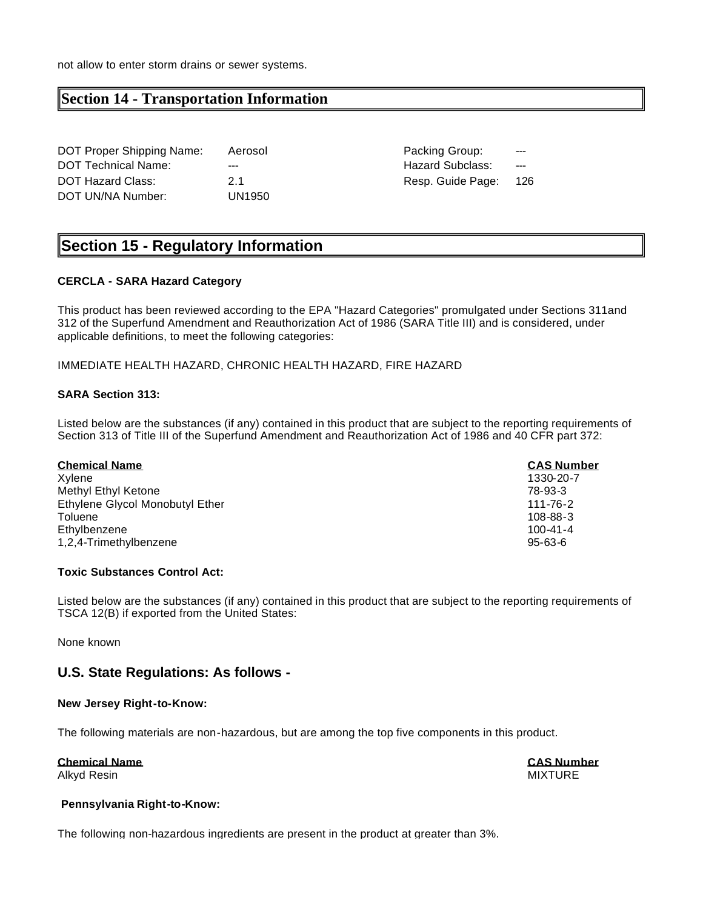### **Section 14 - Transportation Information**

| DOT Proper Shipping Name: | Aerosol |
|---------------------------|---------|
| DOT Technical Name:       | ---     |
| DOT Hazard Class:         | -21     |
| DOT UN/NA Number:         | UN1950  |

Packing Group: Hazard Subclass: ---Resp. Guide Page: 126

## **Section 15 - Regulatory Information**

#### **CERCLA - SARA Hazard Category**

This product has been reviewed according to the EPA "Hazard Categories" promulgated under Sections 311and 312 of the Superfund Amendment and Reauthorization Act of 1986 (SARA Title III) and is considered, under applicable definitions, to meet the following categories:

#### IMMEDIATE HEALTH HAZARD, CHRONIC HEALTH HAZARD, FIRE HAZARD

#### **SARA Section 313:**

Listed below are the substances (if any) contained in this product that are subject to the reporting requirements of Section 313 of Title III of the Superfund Amendment and Reauthorization Act of 1986 and 40 CFR part 372:

| <b>Chemical Name</b>            | <b>CAS Number</b> |
|---------------------------------|-------------------|
| Xvlene                          | 1330-20-7         |
| Methyl Ethyl Ketone             | 78-93-3           |
| Ethylene Glycol Monobutyl Ether | 111-76-2          |
| Toluene                         | $108 - 88 - 3$    |
| Ethylbenzene                    | $100 - 41 - 4$    |
| 1,2,4-Trimethylbenzene          | $95 - 63 - 6$     |

#### **Toxic Substances Control Act:**

Listed below are the substances (if any) contained in this product that are subject to the reporting requirements of TSCA 12(B) if exported from the United States:

None known

#### **U.S. State Regulations: As follows -**

#### **New Jersey Right-to-Know:**

The following materials are non-hazardous, but are among the top five components in this product.

#### **Chemical Name CAS Number**

Alkyd Resin MIXTURE

#### **Pennsylvania Right-to-Know:**

The following non-hazardous ingredients are present in the product at greater than 3%.